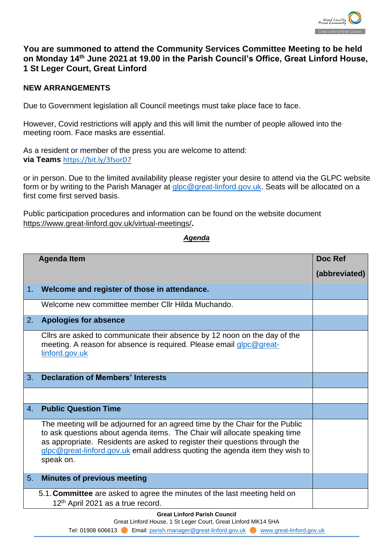

## **You are summoned to attend the Community Services Committee Meeting to be held on Monday 14th June 2021 at 19.00 in the Parish Council's Office, Great Linford House, 1 St Leger Court, Great Linford**

## **NEW ARRANGEMENTS**

Due to Government legislation all Council meetings must take place face to face.

However, Covid restrictions will apply and this will limit the number of people allowed into the meeting room. Face masks are essential.

As a resident or member of the press you are welcome to attend: via Teams <https://bit.ly/3fsorD7>

or in person. Due to the limited availability please register your desire to attend via the GLPC website form or by writing to the Parish Manager at [glpc@great-linford.gov.uk.](mailto:glpc@great-linford.gov.uk) Seats will be allocated on a first come first served basis.

Public participation procedures and information can be found on the website document <https://www.great-linford.gov.uk/virtual-meetings/>**.** 

## *Agenda*

|    | Doc Ref                                                                                                                                                                                                                                                                                                                                |               |  |  |  |  |
|----|----------------------------------------------------------------------------------------------------------------------------------------------------------------------------------------------------------------------------------------------------------------------------------------------------------------------------------------|---------------|--|--|--|--|
|    |                                                                                                                                                                                                                                                                                                                                        | (abbreviated) |  |  |  |  |
| 1. | Welcome and register of those in attendance.                                                                                                                                                                                                                                                                                           |               |  |  |  |  |
|    | Welcome new committee member CIIr Hilda Muchando.                                                                                                                                                                                                                                                                                      |               |  |  |  |  |
| 2. | <b>Apologies for absence</b>                                                                                                                                                                                                                                                                                                           |               |  |  |  |  |
|    | Cllrs are asked to communicate their absence by 12 noon on the day of the<br>meeting. A reason for absence is required. Please email glpc@great-<br>linford.gov.uk                                                                                                                                                                     |               |  |  |  |  |
| 3. | <b>Declaration of Members' Interests</b>                                                                                                                                                                                                                                                                                               |               |  |  |  |  |
|    |                                                                                                                                                                                                                                                                                                                                        |               |  |  |  |  |
| 4. | <b>Public Question Time</b>                                                                                                                                                                                                                                                                                                            |               |  |  |  |  |
|    | The meeting will be adjourned for an agreed time by the Chair for the Public<br>to ask questions about agenda items. The Chair will allocate speaking time<br>as appropriate. Residents are asked to register their questions through the<br>glpc@great-linford.gov.uk email address quoting the agenda item they wish to<br>speak on. |               |  |  |  |  |
| 5. | <b>Minutes of previous meeting</b>                                                                                                                                                                                                                                                                                                     |               |  |  |  |  |
|    | 5.1. Committee are asked to agree the minutes of the last meeting held on<br>12th April 2021 as a true record.                                                                                                                                                                                                                         |               |  |  |  |  |
|    | <b>Great Linford Parish Council</b>                                                                                                                                                                                                                                                                                                    |               |  |  |  |  |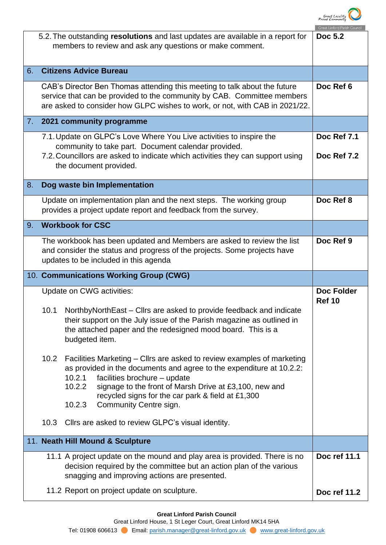

|    | 5.2. The outstanding resolutions and last updates are available in a report for<br>members to review and ask any questions or make comment.                                                                                            |                                                                                                                                                                                                                                 |              |  |  |
|----|----------------------------------------------------------------------------------------------------------------------------------------------------------------------------------------------------------------------------------------|---------------------------------------------------------------------------------------------------------------------------------------------------------------------------------------------------------------------------------|--------------|--|--|
| 6. | <b>Citizens Advice Bureau</b>                                                                                                                                                                                                          |                                                                                                                                                                                                                                 |              |  |  |
|    | CAB's Director Ben Thomas attending this meeting to talk about the future<br>service that can be provided to the community by CAB. Committee members<br>are asked to consider how GLPC wishes to work, or not, with CAB in 2021/22.    | Doc Ref 6                                                                                                                                                                                                                       |              |  |  |
|    |                                                                                                                                                                                                                                        | 7. 2021 community programme                                                                                                                                                                                                     |              |  |  |
|    | 7.1. Update on GLPC's Love Where You Live activities to inspire the<br>community to take part. Document calendar provided.<br>7.2. Councillors are asked to indicate which activities they can support using<br>the document provided. | Doc Ref 7.1<br>Doc Ref 7.2                                                                                                                                                                                                      |              |  |  |
| 8. |                                                                                                                                                                                                                                        | Dog waste bin Implementation                                                                                                                                                                                                    |              |  |  |
|    | Update on implementation plan and the next steps. The working group<br>provides a project update report and feedback from the survey.                                                                                                  | Doc Ref 8                                                                                                                                                                                                                       |              |  |  |
| 9. | <b>Workbook for CSC</b>                                                                                                                                                                                                                |                                                                                                                                                                                                                                 |              |  |  |
|    | The workbook has been updated and Members are asked to review the list<br>and consider the status and progress of the projects. Some projects have<br>updates to be included in this agenda                                            | Doc Ref 9                                                                                                                                                                                                                       |              |  |  |
|    | 10. Communications Working Group (CWG)                                                                                                                                                                                                 |                                                                                                                                                                                                                                 |              |  |  |
|    | Update on CWG activities:                                                                                                                                                                                                              | <b>Doc Folder</b><br><b>Ref 10</b>                                                                                                                                                                                              |              |  |  |
|    | 10.1                                                                                                                                                                                                                                   | Northby North East – Cllrs are asked to provide feedback and indicate<br>their support on the July issue of the Parish magazine as outlined in<br>the attached paper and the redesigned mood board. This is a<br>budgeted item. |              |  |  |
|    | 10.2                                                                                                                                                                                                                                   | Facilities Marketing – Cllrs are asked to review examples of marketing<br>as provided in the documents and agree to the expenditure at 10.2.2:                                                                                  |              |  |  |
|    |                                                                                                                                                                                                                                        | facilities brochure - update<br>10.2.1<br>10.2.2<br>signage to the front of Marsh Drive at £3,100, new and<br>recycled signs for the car park & field at £1,300<br>10.2.3<br>Community Centre sign.                             |              |  |  |
|    | 10.3                                                                                                                                                                                                                                   | Cllrs are asked to review GLPC's visual identity.                                                                                                                                                                               |              |  |  |
|    |                                                                                                                                                                                                                                        | 11. Neath Hill Mound & Sculpture                                                                                                                                                                                                |              |  |  |
|    |                                                                                                                                                                                                                                        | 11.1 A project update on the mound and play area is provided. There is no<br>decision required by the committee but an action plan of the various<br>snagging and improving actions are presented.                              | Doc ref 11.1 |  |  |